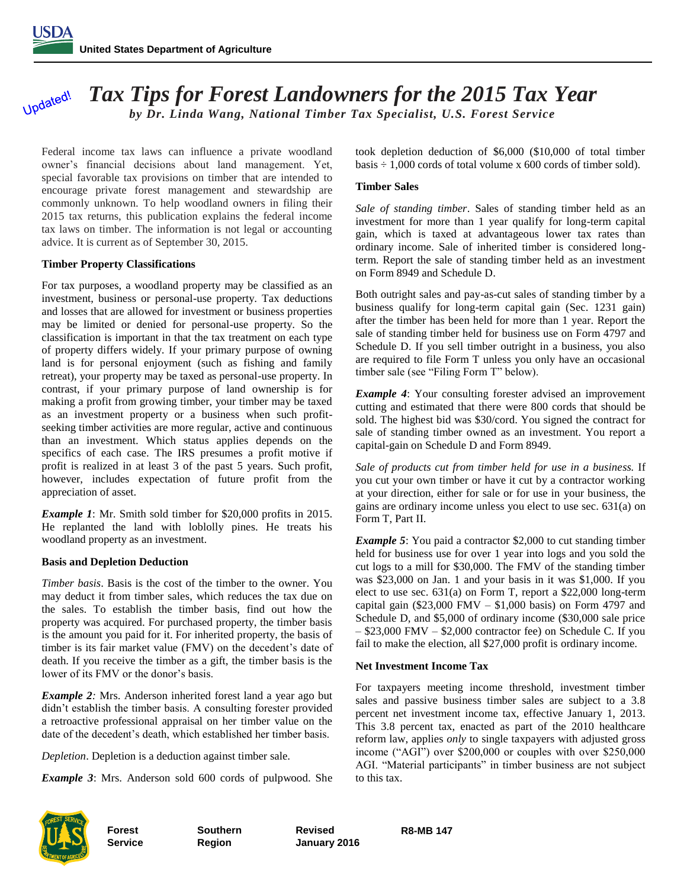Updated!

# *Tax Tips for Forest Landowners for the 2015 Tax Year by Dr. Linda Wang, National Timber Tax Specialist, U.S. Forest Service*

Federal income tax laws can influence a private woodland owner's financial decisions about land management. Yet, special favorable tax provisions on timber that are intended to encourage private forest management and stewardship are commonly unknown. To help woodland owners in filing their 2015 tax returns, this publication explains the federal income tax laws on timber. The information is not legal or accounting advice. It is current as of September 30, 2015.

#### **Timber Property Classifications**

For tax purposes, a woodland property may be classified as an investment, business or personal-use property. Tax deductions and losses that are allowed for investment or business properties may be limited or denied for personal-use property. So the classification is important in that the tax treatment on each type of property differs widely. If your primary purpose of owning land is for personal enjoyment (such as fishing and family retreat), your property may be taxed as personal-use property. In contrast, if your primary purpose of land ownership is for making a profit from growing timber, your timber may be taxed as an investment property or a business when such profitseeking timber activities are more regular, active and continuous than an investment. Which status applies depends on the specifics of each case. The IRS presumes a profit motive if profit is realized in at least 3 of the past 5 years. Such profit, however, includes expectation of future profit from the appreciation of asset.

*Example 1*: Mr. Smith sold timber for \$20,000 profits in 2015. He replanted the land with loblolly pines. He treats his woodland property as an investment.

## **Basis and Depletion Deduction**

*Timber basis*. Basis is the cost of the timber to the owner. You may deduct it from timber sales, which reduces the tax due on the sales. To establish the timber basis, find out how the property was acquired. For purchased property, the timber basis is the amount you paid for it. For inherited property, the basis of timber is its fair market value (FMV) on the decedent's date of death. If you receive the timber as a gift, the timber basis is the lower of its FMV or the donor's basis.

*Example 2:* Mrs. Anderson inherited forest land a year ago but didn't establish the timber basis. A consulting forester provided a retroactive professional appraisal on her timber value on the date of the decedent's death, which established her timber basis.

*Depletion*. Depletion is a deduction against timber sale.

*Example 3*: Mrs. Anderson sold 600 cords of pulpwood. She

took depletion deduction of \$6,000 (\$10,000 of total timber basis  $\div$  1,000 cords of total volume x 600 cords of timber sold).

#### **Timber Sales**

*Sale of standing timber*. Sales of standing timber held as an investment for more than 1 year qualify for long-term capital gain, which is taxed at advantageous lower tax rates than ordinary income. Sale of inherited timber is considered longterm. Report the sale of standing timber held as an investment on Form 8949 and Schedule D.

Both outright sales and pay-as-cut sales of standing timber by a business qualify for long-term capital gain (Sec. 1231 gain) after the timber has been held for more than 1 year. Report the sale of standing timber held for business use on Form 4797 and Schedule D. If you sell timber outright in a business, you also are required to file Form T unless you only have an occasional timber sale (see "Filing Form T" below).

*Example 4*: Your consulting forester advised an improvement cutting and estimated that there were 800 cords that should be sold. The highest bid was \$30/cord. You signed the contract for sale of standing timber owned as an investment. You report a capital-gain on Schedule D and Form 8949.

*Sale of products cut from timber held for use in a business.* If you cut your own timber or have it cut by a contractor working at your direction, either for sale or for use in your business, the gains are ordinary income unless you elect to use sec. 631(a) on Form T, Part II.

*Example 5*: You paid a contractor \$2,000 to cut standing timber held for business use for over 1 year into logs and you sold the cut logs to a mill for \$30,000. The FMV of the standing timber was \$23,000 on Jan. 1 and your basis in it was \$1,000. If you elect to use sec. 631(a) on Form T, report a \$22,000 long-term capital gain (\$23,000 FMV –  $$1,000$  basis) on Form 4797 and Schedule D, and \$5,000 of ordinary income (\$30,000 sale price – \$23,000 FMV – \$2,000 contractor fee) on Schedule C. If you fail to make the election, all \$27,000 profit is ordinary income.

#### **Net Investment Income Tax**

For taxpayers meeting income threshold, investment timber sales and passive business timber sales are subject to a 3.8 percent net investment income tax, effective January 1, 2013. This 3.8 percent tax, enacted as part of the 2010 healthcare reform law, applies *only* to single taxpayers with adjusted gross income ("AGI") over \$200,000 or couples with over \$250,000 AGI. "Material participants" in timber business are not subject to this tax.